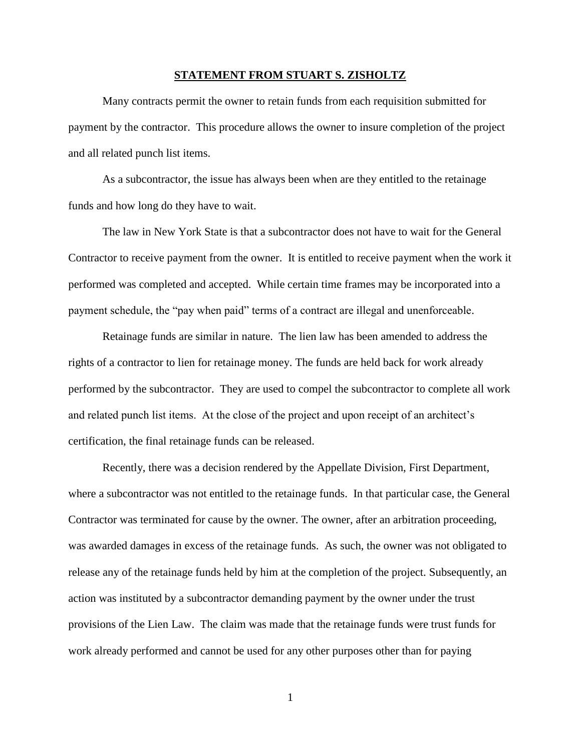## **STATEMENT FROM STUART S. ZISHOLTZ**

Many contracts permit the owner to retain funds from each requisition submitted for payment by the contractor. This procedure allows the owner to insure completion of the project and all related punch list items.

As a subcontractor, the issue has always been when are they entitled to the retainage funds and how long do they have to wait.

The law in New York State is that a subcontractor does not have to wait for the General Contractor to receive payment from the owner. It is entitled to receive payment when the work it performed was completed and accepted. While certain time frames may be incorporated into a payment schedule, the "pay when paid" terms of a contract are illegal and unenforceable.

Retainage funds are similar in nature. The lien law has been amended to address the rights of a contractor to lien for retainage money. The funds are held back for work already performed by the subcontractor. They are used to compel the subcontractor to complete all work and related punch list items. At the close of the project and upon receipt of an architect's certification, the final retainage funds can be released.

Recently, there was a decision rendered by the Appellate Division, First Department, where a subcontractor was not entitled to the retainage funds. In that particular case, the General Contractor was terminated for cause by the owner. The owner, after an arbitration proceeding, was awarded damages in excess of the retainage funds. As such, the owner was not obligated to release any of the retainage funds held by him at the completion of the project. Subsequently, an action was instituted by a subcontractor demanding payment by the owner under the trust provisions of the Lien Law. The claim was made that the retainage funds were trust funds for work already performed and cannot be used for any other purposes other than for paying

1